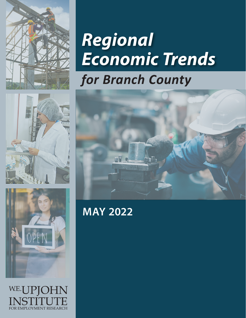

# *Regional Economic Trends for Branch County*





W.E.UPIOHN INSTITUTE FOR EMPLOYMENT RESEARCH

**MAY 2022**

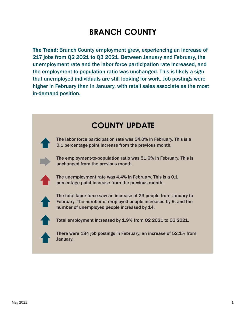The Trend: Branch County employment grew, experiencing an increase of 217 jobs from Q2 2021 to Q3 2021. Between January and February, the unemployment rate and the labor force participation rate increased, and the employment-to-population ratio was unchanged. This is likely a sign that unemployed individuals are still looking for work. Job postings were higher in February than in January, with retail sales associate as the most in-demand position.

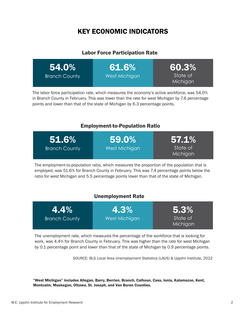### KEY ECONOMIC INDICATORS

#### Labor Force Participation Rate

| <b>54.0%</b>         | 61.6%         | 60.3%                |
|----------------------|---------------|----------------------|
| <b>Branch County</b> | West Michigan | State of<br>Michigan |

The labor force participation rate, which measures the economy's active workforce, was 54.0% in Branch County in February. This was lower than the rate for west Michigan by 7.6 percentage points and lower than that of the state of Michigan by 6.3 percentage points.

#### Employment-to-Population Ratio

| 51.6%                | $59.0\%$      | $57.1\%$             |
|----------------------|---------------|----------------------|
| <b>Branch County</b> | West Michigan | State of<br>Michigan |

The employment-to-population ratio, which measures the proportion of the population that is employed, was 51.6% for Branch County in February. This was 7.4 percentage points below the ratio for west Michigan and 5.5 percentage points lower than that of the state of Michigan.

#### Unemployment Rate



The unemployment rate, which measures the percentage of the workforce that is looking for work, was 4.4% for Branch County in February. This was higher than the rate for west Michigan by 0.1 percentage point and lower than that of the state of Michigan by 0.9 percentage points.

SOURCE: BLS Local Area Unemployment Statistics (LAUS) & Upjohn Institute, 2022

"West Michigan" includes Allegan, Barry, Berrien, Branch, Calhoun, Cass, Ionia, Kalamazoo, Kent, Montcalm, Muskegon, Ottawa, St. Joseph, and Van Buren Counties.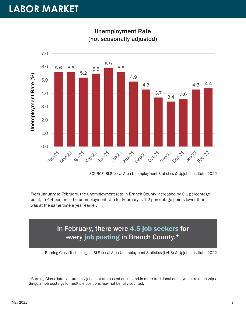### **LABOR MARKET**



Unemployment Rate (not seasonally adjusted)

SOURCE: BLS Local Area Unemployment Statistics & Upjohn Institute, 2022

From January to February, the unemployment rate in Branch County increased by 0.1 percentage point, to 4.4 percent. The unemployment rate for February is 1.2 percentage points lower than it was at the same time a year earlier.

### In February, there were 4.5 job seekers for every job posting in Branch County.\*

—Burning Glass Technologies, BLS Local Area Unemployment Statistics (LAUS) & Upjohn Institute, 2022

\*Burning Glass data capture only jobs that are posted online and in more traditional employment relationships. Singular job postings for multiple positions may not be fully counted.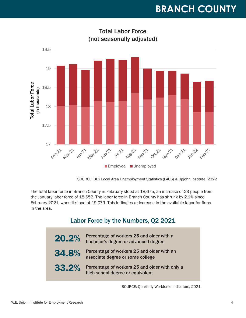

Total Labor Force (not seasonally adjusted)

SOURCE: BLS Local Area Unemployment Statistics (LAUS) & Upjohn Institute, 2022

The total labor force in Branch County in February stood at 18,675, an increase of 23 people from the January labor force of 18,652. The labor force in Branch County has shrunk by 2.1% since February 2021, when it stood at 19,079. This indicates a decrease in the available labor for firms in the area.

#### Labor Force by the Numbers, Q2 2021

| 20.2% | Percentage of workers 25 and older with a<br>bachelor's degree or advanced degree  |
|-------|------------------------------------------------------------------------------------|
| 34.8% | Percentage of workers 25 and older with an<br>associate degree or some college     |
| 33.2% | Percentage of workers 25 and older with only a<br>high school degree or equivalent |

SOURCE: Quarterly Workforce Indicators, 2021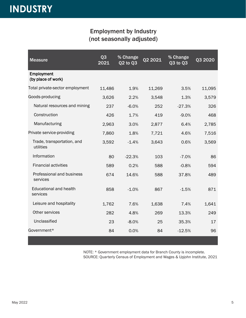#### Employment by Industry (not seasonally adjusted)

| <b>Measure</b>                            | Q <sub>3</sub><br>2021 | % Change<br>Q2 to Q3 | Q2 2021 | % Change<br>Q3 to Q3 | Q3 2020 |
|-------------------------------------------|------------------------|----------------------|---------|----------------------|---------|
| Employment<br>(by place of work)          |                        |                      |         |                      |         |
| Total private-sector employment           | 11,486                 | 1.9%                 | 11,269  | 3.5%                 | 11,095  |
| Goods-producing                           | 3,626                  | 2.2%                 | 3,548   | 1.3%                 | 3,579   |
| Natural resources and mining              | 237                    | $-6.0%$              | 252     | $-27.3%$             | 326     |
| Construction                              | 426                    | 1.7%                 | 419     | $-9.0%$              | 468     |
| Manufacturing                             | 2,963                  | 3.0%                 | 2,877   | 6.4%                 | 2,785   |
| Private service-providing                 | 7,860                  | 1.8%                 | 7,721   | 4.6%                 | 7,516   |
| Trade, transportation, and<br>utilities   | 3,592                  | $-1.4%$              | 3,643   | 0.6%                 | 3,569   |
| Information                               | 80                     | $-22.3%$             | 103     | $-7.0%$              | 86      |
| <b>Financial activities</b>               | 589                    | 0.2%                 | 588     | $-0.8%$              | 594     |
| Professional and business<br>services     | 674                    | 14.6%                | 588     | 37.8%                | 489     |
| <b>Educational and health</b><br>services | 858                    | $-1.0%$              | 867     | $-1.5%$              | 871     |
| Leisure and hospitality                   | 1,762                  | 7.6%                 | 1,638   | 7.4%                 | 1,641   |
| Other services                            | 282                    | 4.8%                 | 269     | 13.3%                | 249     |
| Unclassified                              | 23                     | $-8.0%$              | 25      | 35.3%                | 17      |
| Government*                               | 84                     | 0.0%                 | 84      | $-12.5%$             | 96      |

NOTE: \* Government employment data for Branch County is incomplete. SOURCE: Quarterly Census of Employment and Wages & Upjohn Institute, 2021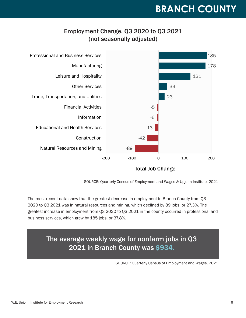#### Employment Change, Q3 2020 to Q3 2021 (not seasonally adjusted)



SOURCE: Quarterly Census of Employment and Wages & Upjohn Institute, 2021

The most recent data show that the greatest decrease in employment in Branch County from Q3 2020 to Q3 2021 was in natural resources and mining, which declined by 89 jobs, or 27.3%. The greatest increase in employment from Q3 2020 to Q3 2021 in the county occurred in professional and business services, which grew by 185 jobs, or 37.8%.

### The average weekly wage for nonfarm jobs in Q3 2021 in Branch County was \$934.

SOURCE: Quarterly Census of Employment and Wages, 2021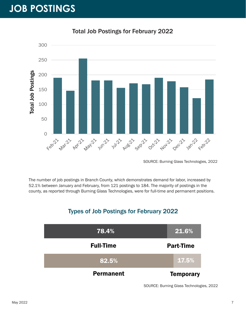# **JOB POSTINGS**



Total Job Postings for February 2022

SOURCE: Burning Glass Technologies, 2022

The number of job postings in Branch County, which demonstrates demand for labor, increased by 52.1% between January and February, from 121 postings to 184. The majority of postings in the county, as reported through Burning Glass Technologies, were for full-time and permanent positions.

#### Types of Job Postings for February 2022



SOURCE: Burning Glass Technologies, 2022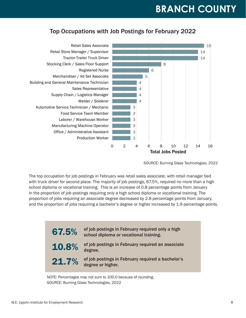#### Top Occupations with Job Postings for February 2022



SOURCE: Burning Glass Technologies, 2022

The top occupation for job postings in February was retail sales associate, with retail manager tied with truck driver for second place. The majority of job postings, 67.5%, required no more than a high school diploma or vocational training. This is an increase of 0.8 percentage points from January in the proportion of job postings requiring only a high school diploma or vocational training. The proportion of jobs requiring an associate degree decreased by 2.8 percentage points from January, and the proportion of jobs requiring a bachelor's degree or higher increased by 1.9 percentage points.



NOTE: Percentages may not sum to 100.0 because of rounding. SOURCE: Burning Glass Technologies, 2022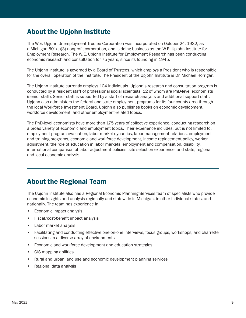#### About the Upjohn Institute

The W.E. Upjohn Unemployment Trustee Corporation was incorporated on October 24, 1932, as a Michigan 501(c)(3) nonprofit corporation, and is doing business as the W.E. Upjohn Institute for Employment Research. The W.E. Upjohn Institute for Employment Research has been conducting economic research and consultation for 75 years, since its founding in 1945.

The Upjohn Institute is governed by a Board of Trustees, which employs a President who is responsible for the overall operation of the Institute. The President of the Upjohn Institute is Dr. Michael Horrigan.

The Upjohn Institute currently employs 104 individuals. Upjohn's research and consultation program is conducted by a resident staff of professional social scientists, 12 of whom are PhD-level economists (senior staff). Senior staff is supported by a staff of research analysts and additional support staff. Upjohn also administers the federal and state employment programs for its four-county area through the local Workforce Investment Board. Upjohn also publishes books on economic development, workforce development, and other employment-related topics.

The PhD-level economists have more than 175 years of collective experience, conducting research on a broad variety of economic and employment topics. Their experience includes, but is not limited to, employment program evaluation, labor market dynamics, labor-management relations, employment and training programs, economic and workforce development, income replacement policy, worker adjustment, the role of education in labor markets, employment and compensation, disability, international comparison of labor adjustment policies, site selection experience, and state, regional, and local economic analysis.

#### About the Regional Team

The Upjohn Institute also has a Regional Economic Planning Services team of specialists who provide economic insights and analysis regionally and statewide in Michigan, in other individual states, and nationally. The team has experience in:

- Economic impact analysis
- Fiscal/cost-benefit impact analysis
- Labor market analysis
- Facilitating and conducting effective one-on-one interviews, focus groups, workshops, and charrette sessions in a diverse array of environments
- Economic and workforce development and education strategies
- GIS mapping abilities
- Rural and urban land use and economic development planning services
- Regional data analysis